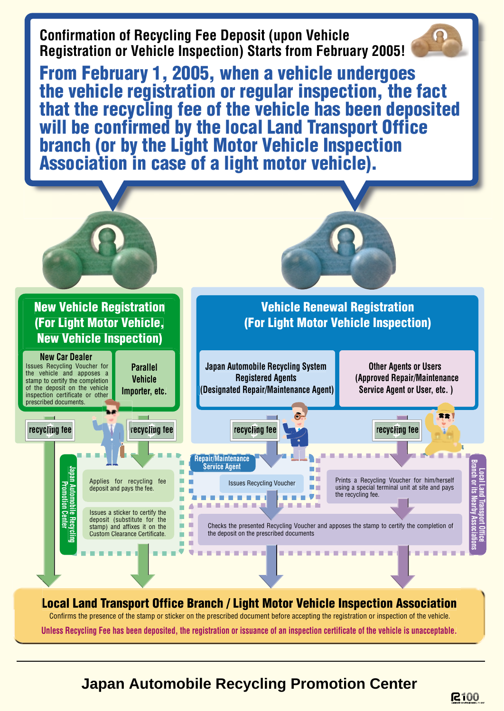

Confirms the presence of the stamp or sticker on the prescribed document before accepting the registration or inspection of the vehicle.

**Unless Recycling Fee has been deposited, the registration or issuance of an inspection certificate of the vehicle is unacceptable.**

### **Japan Automobile Recycling Promotion Center**